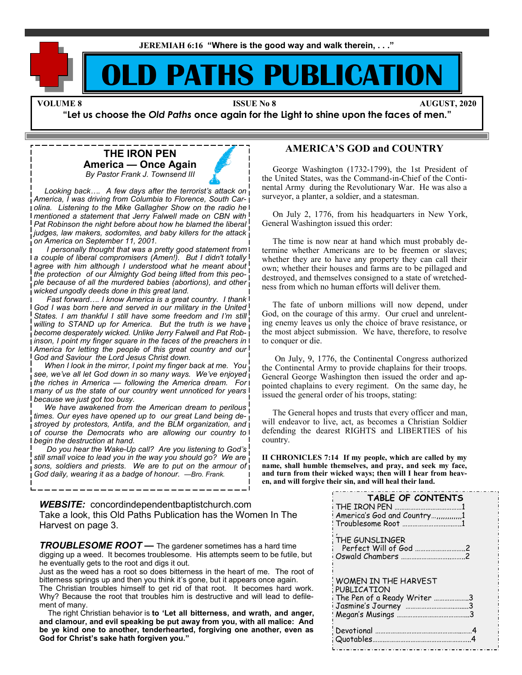**JEREMIAH 6:16 "Where is the good way and walk therein, . . ."**

## **D PATHS PUBLICATI**

**VOLUME 8 ISSUE No 8 ISSUE No 8 AUGUST, 2020** 

**"Let us choose the** *Old Paths* **once again for the Light to shine upon the faces of men."**

**THE IRON PEN America — Once Again** *By Pastor Frank J. Townsend III*

 *Looking back…. A few days after the terrorist's attack on America, I was driving from Columbia to Florence, South Carolina. Listening to the Mike Gallagher Show on the radio he mentioned a statement that Jerry Falwell made on CBN with Pat Robinson the night before about how he blamed the liberal judges, law makers, sodomites, and baby killers for the attack on America on September 11, 2001.*

 *I personally thought that was a pretty good statement from a couple of liberal compromisers (Amen!). But I didn't totally agree with him although I understood what he meant about the protection of our Almighty God being lifted from this people because of all the murdered babies (abortions), and other wicked ungodly deeds done in this great land.*

 *Fast forward…. I know America is a great country. I thank God I was born here and served in our military in the United States. I am thankful I still have some freedom and I'm still willing to STAND up for America. But the truth is we have become desperately wicked. Unlike Jerry Falwell and Pat Robinson, I point my finger square in the faces of the preachers in I America for letting the people of this great country and our God and Saviour the Lord Jesus Christ down.* 

 *When I look in the mirror, I point my finger back at me. You see, we've all let God down in so many ways. We've enjoyed the riches in America — following the America dream. For many of us the state of our country went unnoticed for years because we just got too busy.*

 *We have awakened from the American dream to perilous times. Our eyes have opened up to our great Land being destroyed by protestors, Antifa, and the BLM organization, and of course the Democrats who are allowing our country to begin the destruction at hand.*

 *Do you hear the Wake-Up call? Are you listening to God's still small voice to lead you in the way you should go? We are sons, soldiers and priests. We are to put on the armour of God daily, wearing it as a badge of honour. —Bro. Frank.*

*WEBSITE:* concordindependentbaptistchurch.com Take a look, this Old Paths Publication has the Women In The Harvest on page 3.

*TROUBLESOME ROOT —* The gardener sometimes has a hard time digging up a weed. It becomes troublesome. His attempts seem to be futile, but he eventually gets to the root and digs it out.

Just as the weed has a root so does bitterness in the heart of me. The root of bitterness springs up and then you think it's gone, but it appears once again.

The Christian troubles himself to get rid of that root. It becomes hard work. Why? Because the root that troubles him is destructive and will lead to defilement of many.

 The right Christian behavior is **to 'Let all bitterness, and wrath, and anger, and clamour, and evil speaking be put away from you, with all malice: And be ye kind one to another, tenderhearted, forgiving one another, even as God for Christ's sake hath forgiven you."**

#### **AMERICA'S GOD and COUNTRY**

 George Washington (1732-1799), the 1st President of the United States, was the Command-in-Chief of the Continental Army during the Revolutionary War. He was also a surveyor, a planter, a soldier, and a statesman.

 On July 2, 1776, from his headquarters in New York, General Washington issued this order:

 The time is now near at hand which must probably determine whether Americans are to be freemen or slaves; whether they are to have any property they can call their own; whether their houses and farms are to be pillaged and destroyed, and themselves consigned to a state of wretchedness from which no human efforts will deliver them.

 The fate of unborn millions will now depend, under God, on the courage of this army. Our cruel and unrelenting enemy leaves us only the choice of brave resistance, or the most abject submission. We have, therefore, to resolve to conquer or die.

 On July, 9, 1776, the Continental Congress authorized the Continental Army to provide chaplains for their troops. General George Washington then issued the order and appointed chaplains to every regiment. On the same day, he issued the general order of his troops, stating:

 The General hopes and trusts that every officer and man, will endeavor to live, act, as becomes a Christian Soldier defending the dearest RIGHTS and LIBERTIES of his country.

**II CHRONICLES 7:14 If my people, which are called by my name, shall humble themselves, and pray, and seek my face, and turn from their wicked ways; then will I hear from heaven, and will forgive their sin, and will heal their land.**

| <b>TABLE OF CONTENTS</b><br>America's God and Country,,,,,,,,,,,1<br>Troublesome Root 1 |  |
|-----------------------------------------------------------------------------------------|--|
| THE GUNSLINGER                                                                          |  |
| <b>WOMEN IN THE HARVEST</b><br>PUBLICATION<br>The Pen of a Ready Writer 3               |  |
|                                                                                         |  |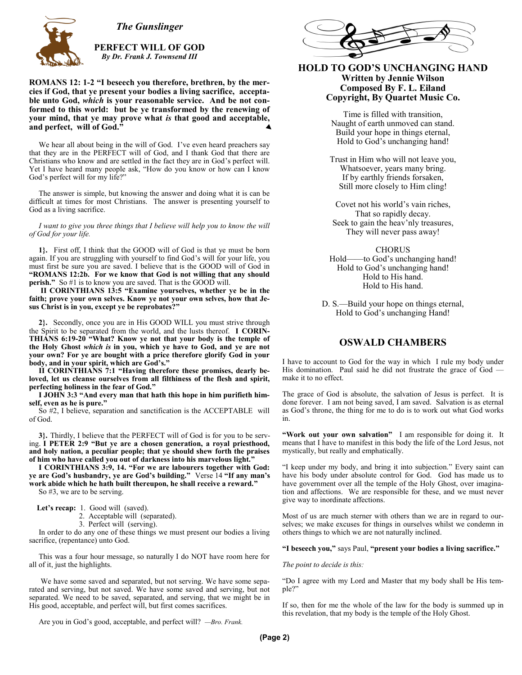

*The Gunslinger*

#### **PERFECT WILL OF GOD** *By Dr. Frank J. Townsend III*

**ROMANS 12: 1-2 "I beseech you therefore, brethren, by the mercies if God, that ye present your bodies a living sacrifice, acceptable unto God,** *which* **is your reasonable service. And be not conformed to this world: but be ye transformed by the renewing of your mind, that ye may prove what** *is* **that good and acceptable, and perfect, will of God."**

 We hear all about being in the will of God. I've even heard preachers say that they are in the PERFECT will of God, and I thank God that there are Christians who know and are settled in the fact they are in God's perfect will. Yet I have heard many people ask, "How do you know or how can I know God's perfect will for my life?"

 The answer is simple, but knowing the answer and doing what it is can be difficult at times for most Christians. The answer is presenting yourself to God as a living sacrifice.

 *I want to give you three things that I believe will help you to know the will of God for your life.*

 **1}.** First off, I think that the GOOD will of God is that ye must be born again. If you are struggling with yourself to find God's will for your life, you must first be sure you are saved. I believe that is the GOOD will of God in **"ROMANS 12:2b. For we know that God is not willing that any should perish.**" So #1 is to know you are saved. That is the GOOD will.

 **II CORINTHIANS 13:5 "Examine yourselves, whether ye be in the faith; prove your own selves. Know ye not your own selves, how that Jesus Christ is in you, except ye be reprobates?"**

 **2}.** Secondly, once you are in His GOOD WILL you must strive through the Spirit to be separated from the world, and the lusts thereof. **I CORIN-THIANS 6:19-20 "What? Know ye not that your body is the temple of the Holy Ghost** *which is* **in you, which ye have to God, and ye are not your own? For ye are bought with a price therefore glorify God in your body, and in your spirit, which are God's."** 

 **II CORINTHIANS 7:1 "Having therefore these promises, dearly beloved, let us cleanse ourselves from all filthiness of the flesh and spirit, perfecting holiness in the fear of God."**

 **I JOHN 3:3 "And every man that hath this hope in him purifieth himself, even as he is pure."**

 So #2, I believe, separation and sanctification is the ACCEPTABLE will of God.

 **3}.** Thirdly, I believe that the PERFECT will of God is for you to be serving. **I PETER 2:9 "But ye are a chosen generation, a royal priesthood, and holy nation, a peculiar people; that ye should shew forth the praises of him who have called you out of darkness into his marvelous light."**

 **I CORINTHIANS 3:9, 14. "For we are labourers together with God: ye are God's husbandry, ye are God's building."** Verse 14 **"If any man's work abide which he hath built thereupon, he shall receive a reward."**

So #3, we are to be serving.

**Let's recap:** 1. Good will (saved).

2. Acceptable will (separated).

3. Perfect will (serving).

 In order to do any one of these things we must present our bodies a living sacrifice, (repentance) unto God.

 This was a four hour message, so naturally I do NOT have room here for all of it, just the highlights.

 We have some saved and separated, but not serving. We have some separated and serving, but not saved. We have some saved and serving, but not separated. We need to be saved, separated, and serving, that we might be in His good, acceptable, and perfect will, but first comes sacrifices.

Are you in God's good, acceptable, and perfect will? *—Bro. Frank.*



#### **HOLD TO GOD'S UNCHANGING HAND Written by Jennie Wilson Composed By F. L. Eiland Copyright, By Quartet Music Co.**

Time is filled with transition, Naught of earth unmoved can stand. Build your hope in things eternal, Hold to God's unchanging hand!

Trust in Him who will not leave you, Whatsoever, years many bring. If by earthly friends forsaken, Still more closely to Him cling!

Covet not his world's vain riches, That so rapidly decay. Seek to gain the heav'nly treasures, They will never pass away!

**CHORUS** Hold——to God's unchanging hand! Hold to God's unchanging hand! Hold to His hand. Hold to His hand.

D. S.—Build your hope on things eternal, Hold to God's unchanging Hand!

#### **OSWALD CHAMBERS**

I have to account to God for the way in which I rule my body under His domination. Paul said he did not frustrate the grace of God make it to no effect.

The grace of God is absolute, the salvation of Jesus is perfect. It is done forever. I am not being saved, I am saved. Salvation is as eternal as God's throne, the thing for me to do is to work out what God works in.

**"Work out your own salvation"** I am responsible for doing it. It means that I have to manifest in this body the life of the Lord Jesus, not mystically, but really and emphatically.

"I keep under my body, and bring it into subjection." Every saint can have his body under absolute control for God. God has made us to have government over all the temple of the Holy Ghost, over imagination and affections. We are responsible for these, and we must never give way to inordinate affections.

Most of us are much sterner with others than we are in regard to ourselves; we make excuses for things in ourselves whilst we condemn in others things to which we are not naturally inclined.

#### **"I beseech you,"** says Paul, **"present your bodies a living sacrifice."**

*The point to decide is this:* 

"Do I agree with my Lord and Master that my body shall be His temple?"

If so, then for me the whole of the law for the body is summed up in this revelation, that my body is the temple of the Holy Ghost.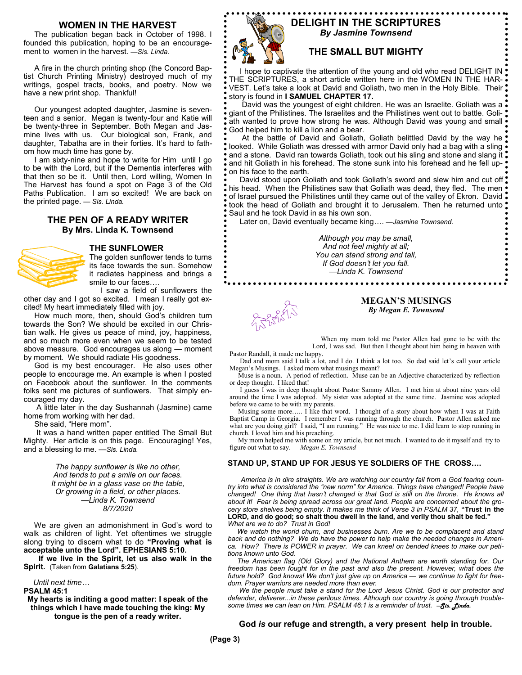#### **WOMEN IN THE HARVEST**

 The publication began back in October of 1998. I founded this publication, hoping to be an encouragement to women in the harvest. *—Sis. Linda.*

 A fire in the church printing shop (the Concord Baptist Church Printing Ministry) destroyed much of my writings, gospel tracts, books, and poetry. Now we have a new print shop. Thankful!

 Our youngest adopted daughter, Jasmine is seventeen and a senior. Megan is twenty-four and Katie will be twenty-three in September. Both Megan and Jasmine lives with us. Our biological son, Frank, and daughter, Tabatha are in their forties. It's hard to fathom how much time has gone by.

 I am sixty-nine and hope to write for Him until I go to be with the Lord, but if the Dementia interferes with that then so be it. Until then, Lord willing, Women In The Harvest has found a spot on Page 3 of the Old Paths Publication. I am so excited! We are back on the printed page. *— Sis. Linda.*

#### **THE PEN OF A READY WRITER By Mrs. Linda K. Townsend**



#### **THE SUNFLOWER**

The golden sunflower tends to turns its face towards the sun. Somehow it radiates happiness and brings a smile to our faces….

 I saw a field of sunflowers the other day and I got so excited. I mean I really got excited! My heart immediately filled with joy.

 How much more, then, should God's children turn towards the Son? We should be excited in our Christian walk. He gives us peace of mind, joy, happiness, and so much more even when we seem to be tested above measure. God encourages us along — moment by moment. We should radiate His goodness.

 God is my best encourager. He also uses other people to encourage me. An example is when I posted on Facebook about the sunflower. In the comments folks sent me pictures of sunflowers. That simply encouraged my day.

 A little later in the day Sushannah (Jasmine) came home from working with her dad.

She said, "Here mom".

 It was a hand written paper entitled The Small But Mighty. Her article is on this page. Encouraging! Yes, and a blessing to me. —*Sis. Linda.*

> *The happy sunflower is like no other, And tends to put a smile on our faces. It might be in a glass vase on the table, Or growing in a field, or other places. —Linda K. Townsend 8/7/2020*

We are given an admonishment in God's word to walk as children of light. Yet oftentimes we struggle along trying to discern what to do **"Proving what is acceptable unto the Lord". EPHESIANS 5:10.**

 **If we live in the Spirit, let us also walk in the Spirit.** (Taken from **Galatians 5:25**).

*Until next time…* 

**PSALM 45:1** 

**My hearts is inditing a good matter: I speak of the things which I have made touching the king: My tongue is the pen of a ready writer.** 



#### **DELIGHT IN THE SCRIPTURES** *By Jasmine Townsend*

### **THE SMALL BUT MIGHTY**

**I** hope to captivate the attention of the young and old who read DELIGHT IN **!** THE SCRIPTURES, a short article written here in the WOMEN IN THE HAR-VEST. Let's take a look at David and Goliath, two men in the Holy Bible. Their story is found in **I SAMUEL CHAPTER 17.** 

David was the youngest of eight children. He was an Israelite. Goliath was a giant of the Philistines. The Israelites and the Philistines went out to battle. Goliath wanted to prove how strong he was. Although David was young and small God helped him to kill a lion and a bear.

At the battle of David and Goliath, Goliath belittled David by the way he! looked. While Goliath was dressed with armor David only had a bag with a sling  $\cdot$ and a stone. David ran towards Goliath, took out his sling and stone and slang it. and hit Goliath in his forehead. The stone sunk into his forehead and he fell upon his face to the earth.

David stood upon Goliath and took Goliath's sword and slew him and cut off. his head. When the Philistines saw that Goliath was dead, they fled. The men of Israel pursued the Philistines until they came out of the valley of Ekron. David took the head of Goliath and brought it to Jerusalem. Then he returned unto: Saul and he took David in as his own son.

Later on, David eventually became king…. *—Jasmine Townsend.*

*Although you may be small, And not feel mighty at all; You can stand strong and tall, If God doesn't let you fall. —Linda K. Townsend*

#### **MEGAN'S MUSINGS** *By Megan E. Townsend*

When my mom told me Pastor Allen had gone to be with the Lord, I was sad. But then I thought about him being in heaven with

Pastor Randall, it made me happy. Dad and mom said I talk a lot, and I do. I think a lot too. So dad said let's call your article Megan's Musings. I asked mom what musings meant?

 Muse is a noun. A period of reflection. Muse can be an Adjective characterized by reflection or deep thought. I liked that!

 I guess I was in deep thought about Pastor Sammy Allen. I met him at about nine years old around the time I was adopted. My sister was adopted at the same time. Jasmine was adopted before we came to be with my parents.

Musing some more….. I like that word. I thought of a story about how when I was at Faith Baptist Camp in Georgia. I remember I was running through the church. Pastor Allen asked me what are you doing girl? I said, "I am running." He was nice to me. I did learn to stop running in church. I loved him and his preaching.

 My mom helped me with some on my article, but not much. I wanted to do it myself and try to figure out what to say. *—Megan E. Townsend* 

#### **STAND UP, STAND UP FOR JESUS YE SOLDIERS OF THE CROSS….**

 *America is in dire straights. We are watching our country fall from a God fearing country into what is considered the "new norm" for America. Things have changed! People have changed! One thing that hasn't changed is that God is still on the throne. He knows all about it! Fear is being spread across our great land. People are concerned about the grocery store shelves being empty. It makes me think of Verse 3 in PSALM 37,* **"Trust in the LORD, and do good; so shalt thou dwell in the land, and verily thou shalt be fed."**  *What are we to do? Trust in God!*

We watch the world churn, and businesses burn. Are we to be complacent and stand *back and do nothing? We do have the power to help make the needed changes in America. How? There is POWER in prayer. We can kneel on bended knees to make our petitions known unto God.* 

 *The American flag (Old Glory) and the National Anthem are worth standing for. Our freedom has been fought for in the past and also the present. However, what does the future hold? God knows! We don't just give up on America — we continue to fight for freedom. Prayer warriors are needed more than ever.* 

 *We the people must take a stand for the Lord Jesus Christ. God is our protector and defender, deliverer...in these perilous times. Although our country is going through troublesome times we can lean on Him. PSALM 46:1 is a reminder of trust. —Sis. Linda.*

#### **God** *is* **our refuge and strength, a very present help in trouble.**